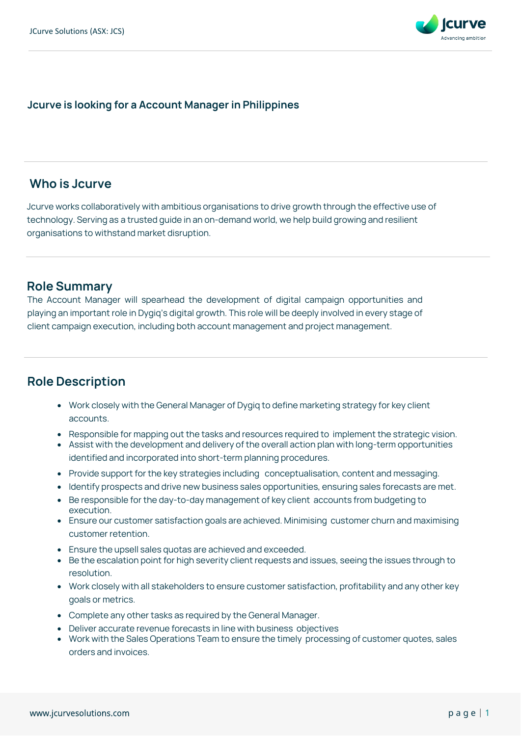

#### **Jcurve is looking for a Account Manager in Philippines**

## **Who is Jcurve**

Jcurve works collaboratively with ambitious organisations to drive growth through the effective use of technology. Serving as a trusted guide in an on-demand world, we help build growing and resilient organisations to withstand market disruption.

#### **Role Summary**

The Account Manager will spearhead the development of digital campaign opportunities and playing an important role in Dygiq's digital growth. This role will be deeply involved in every stage of client campaign execution, including both account management and project management.

## **Role Description**

- Work closely with the General Manager of Dygiq to define marketing strategy for key client accounts.
- Responsible for mapping out the tasks and resources required to implement the strategic vision.
- Assist with the development and delivery of the overall action plan with long-term opportunities identified and incorporated into short-term planning procedures.
- Provide support for the key strategies including conceptualisation, content and messaging.
- Identify prospects and drive new business sales opportunities, ensuring sales forecasts are met.
- Be responsible for the day-to-day management of key client accounts from budgeting to execution.
- Ensure our customer satisfaction goals are achieved. Minimising customer churn and maximising customer retention.
- Ensure the upsell sales quotas are achieved and exceeded.
- Be the escalation point for high severity client requests and issues, seeing the issues through to resolution.
- Work closely with all stakeholders to ensure customer satisfaction, profitability and any other key goals or metrics.
- Complete any other tasks as required by the General Manager.
- Deliver accurate revenue forecasts in line with business objectives
- Work with the Sales Operations Team to ensure the timely processing of customer quotes, sales orders and invoices.